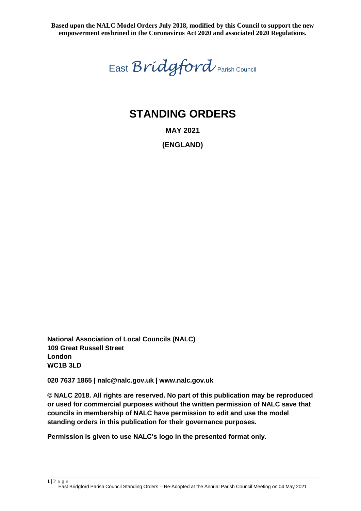East *Bridgford* Parish Council

# **STANDING ORDERS**

**MAY 2021**

**(ENGLAND)**

**National Association of Local Councils (NALC) 109 Great Russell Street London WC1B 3LD**

**020 7637 1865 | nalc@nalc.gov.uk | www.nalc.gov.uk**

**© NALC 2018. All rights are reserved. No part of this publication may be reproduced or used for commercial purposes without the written permission of NALC save that councils in membership of NALC have permission to edit and use the model standing orders in this publication for their governance purposes.**

**Permission is given to use NALC's logo in the presented format only.**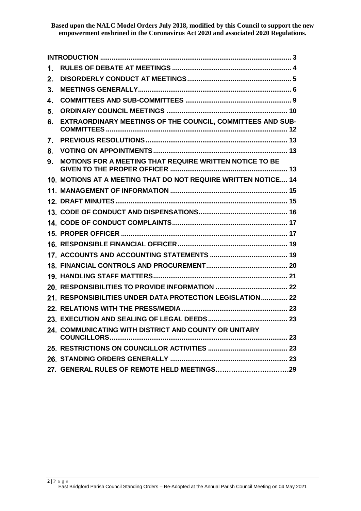| 1. |                                                                   |
|----|-------------------------------------------------------------------|
| 2. |                                                                   |
| 3. |                                                                   |
| 4. |                                                                   |
| 5. |                                                                   |
| 6. | <b>EXTRAORDINARY MEETINGS OF THE COUNCIL, COMMITTEES AND SUB-</b> |
| 7. |                                                                   |
| 8. |                                                                   |
| 9. | MOTIONS FOR A MEETING THAT REQUIRE WRITTEN NOTICE TO BE           |
|    | 10. MOTIONS AT A MEETING THAT DO NOT REQUIRE WRITTEN NOTICE 14    |
|    |                                                                   |
|    |                                                                   |
|    |                                                                   |
|    |                                                                   |
|    |                                                                   |
|    |                                                                   |
|    |                                                                   |
|    |                                                                   |
|    |                                                                   |
|    |                                                                   |
|    | 21. RESPONSIBILITIES UNDER DATA PROTECTION LEGISLATION 22         |
|    |                                                                   |
|    |                                                                   |
|    | 24. COMMUNICATING WITH DISTRICT AND COUNTY OR UNITARY             |
|    |                                                                   |
|    |                                                                   |
|    |                                                                   |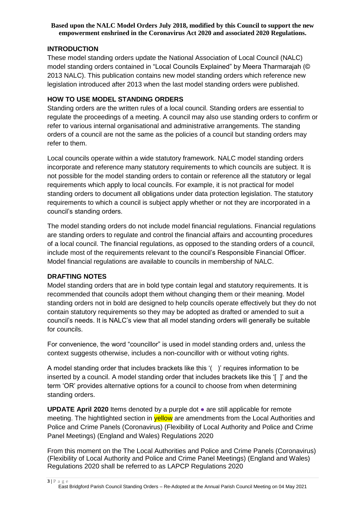## <span id="page-2-0"></span>**INTRODUCTION**

These model standing orders update the National Association of Local Council (NALC) model standing orders contained in "Local Councils Explained" by Meera Tharmarajah (© 2013 NALC). This publication contains new model standing orders which reference new legislation introduced after 2013 when the last model standing orders were published.

## **HOW TO USE MODEL STANDING ORDERS**

Standing orders are the written rules of a local council. Standing orders are essential to regulate the proceedings of a meeting. A council may also use standing orders to confirm or refer to various internal organisational and administrative arrangements. The standing orders of a council are not the same as the policies of a council but standing orders may refer to them.

Local councils operate within a wide statutory framework. NALC model standing orders incorporate and reference many statutory requirements to which councils are subject. It is not possible for the model standing orders to contain or reference all the statutory or legal requirements which apply to local councils. For example, it is not practical for model standing orders to document all obligations under data protection legislation. The statutory requirements to which a council is subject apply whether or not they are incorporated in a council's standing orders.

The model standing orders do not include model financial regulations. Financial regulations are standing orders to regulate and control the financial affairs and accounting procedures of a local council. The financial regulations, as opposed to the standing orders of a council, include most of the requirements relevant to the council's Responsible Financial Officer. Model financial regulations are available to councils in membership of NALC.

## **DRAFTING NOTES**

Model standing orders that are in bold type contain legal and statutory requirements. It is recommended that councils adopt them without changing them or their meaning. Model standing orders not in bold are designed to help councils operate effectively but they do not contain statutory requirements so they may be adopted as drafted or amended to suit a council's needs. It is NALC's view that all model standing orders will generally be suitable for councils.

For convenience, the word "councillor" is used in model standing orders and, unless the context suggests otherwise, includes a non-councillor with or without voting rights.

A model standing order that includes brackets like this '( )' requires information to be inserted by a council. A model standing order that includes brackets like this '[ ]' and the term 'OR' provides alternative options for a council to choose from when determining standing orders.

**UPDATE April 2020** Items denoted by a purple dot ● are still applicable for remote meeting. The hightlighted section in **yellow** are amendments from the Local Authorities and Police and Crime Panels (Coronavirus) (Flexibility of Local Authority and Police and Crime Panel Meetings) (England and Wales) Regulations 2020

From this moment on the The Local Authorities and Police and Crime Panels (Coronavirus) (Flexibility of Local Authority and Police and Crime Panel Meetings) (England and Wales) Regulations 2020 shall be referred to as LAPCP Regulations 2020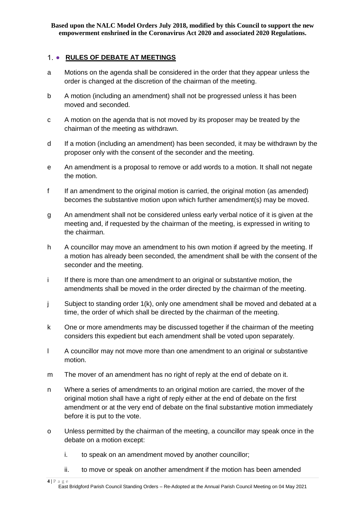## <span id="page-3-0"></span>1. • RULES OF DEBATE AT MEETINGS

- a Motions on the agenda shall be considered in the order that they appear unless the order is changed at the discretion of the chairman of the meeting.
- b A motion (including an amendment) shall not be progressed unless it has been moved and seconded.
- c A motion on the agenda that is not moved by its proposer may be treated by the chairman of the meeting as withdrawn.
- d If a motion (including an amendment) has been seconded, it may be withdrawn by the proposer only with the consent of the seconder and the meeting.
- e An amendment is a proposal to remove or add words to a motion. It shall not negate the motion.
- f If an amendment to the original motion is carried, the original motion (as amended) becomes the substantive motion upon which further amendment(s) may be moved.
- g An amendment shall not be considered unless early verbal notice of it is given at the meeting and, if requested by the chairman of the meeting, is expressed in writing to the chairman.
- h A councillor may move an amendment to his own motion if agreed by the meeting. If a motion has already been seconded, the amendment shall be with the consent of the seconder and the meeting.
- i If there is more than one amendment to an original or substantive motion, the amendments shall be moved in the order directed by the chairman of the meeting.
- j Subject to standing order 1(k), only one amendment shall be moved and debated at a time, the order of which shall be directed by the chairman of the meeting.
- k One or more amendments may be discussed together if the chairman of the meeting considers this expedient but each amendment shall be voted upon separately.
- l A councillor may not move more than one amendment to an original or substantive motion.
- m The mover of an amendment has no right of reply at the end of debate on it.
- n Where a series of amendments to an original motion are carried, the mover of the original motion shall have a right of reply either at the end of debate on the first amendment or at the very end of debate on the final substantive motion immediately before it is put to the vote.
- o Unless permitted by the chairman of the meeting, a councillor may speak once in the debate on a motion except:
	- i. to speak on an amendment moved by another councillor;
	- ii. to move or speak on another amendment if the motion has been amended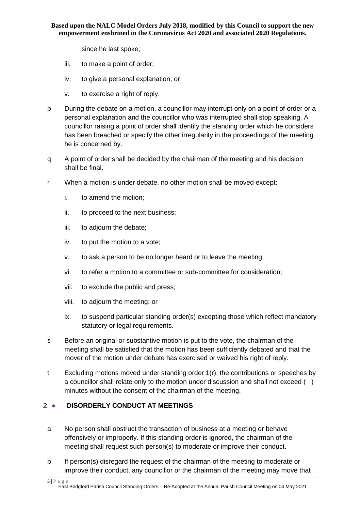since he last spoke;

- iii. to make a point of order;
- iv. to give a personal explanation; or
- v. to exercise a right of reply.
- p During the debate on a motion, a councillor may interrupt only on a point of order or a personal explanation and the councillor who was interrupted shall stop speaking. A councillor raising a point of order shall identify the standing order which he considers has been breached or specify the other irregularity in the proceedings of the meeting he is concerned by.
- q A point of order shall be decided by the chairman of the meeting and his decision shall be final.
- r When a motion is under debate, no other motion shall be moved except:
	- i. to amend the motion;
	- ii. to proceed to the next business;
	- iii. to adjourn the debate;
	- iv. to put the motion to a vote;
	- v. to ask a person to be no longer heard or to leave the meeting;
	- vi. to refer a motion to a committee or sub-committee for consideration;
	- vii. to exclude the public and press;
	- viii. to adjourn the meeting; or
	- ix. to suspend particular standing order(s) excepting those which reflect mandatory statutory or legal requirements.
- s Before an original or substantive motion is put to the vote, the chairman of the meeting shall be satisfied that the motion has been sufficiently debated and that the mover of the motion under debate has exercised or waived his right of reply.
- t Excluding motions moved under standing order 1(r), the contributions or speeches by a councillor shall relate only to the motion under discussion and shall not exceed () minutes without the consent of the chairman of the meeting.

## <span id="page-4-0"></span>2 . DISORDERLY CONDUCT AT MEETINGS

- a No person shall obstruct the transaction of business at a meeting or behave offensively or improperly. If this standing order is ignored, the chairman of the meeting shall request such person(s) to moderate or improve their conduct.
- b If person(s) disregard the request of the chairman of the meeting to moderate or improve their conduct, any councillor or the chairman of the meeting may move that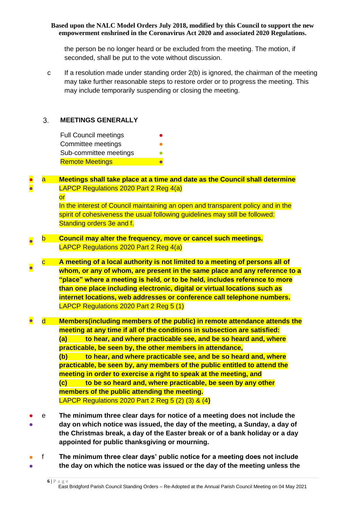the person be no longer heard or be excluded from the meeting. The motion, if seconded, shall be put to the vote without discussion.

c If a resolution made under standing order 2(b) is ignored, the chairman of the meeting may take further reasonable steps to restore order or to progress the meeting. This may include temporarily suspending or closing the meeting.

#### <span id="page-5-0"></span> $3<sub>1</sub>$ **MEETINGS GENERALLY**

| <b>Full Council meetings</b> |  |
|------------------------------|--|
| Committee meetings           |  |
| Sub-committee meetings       |  |
| <b>Remote Meetings</b>       |  |

#### ● ● **Meetings shall take place at a time and date as the Council shall determine** LAPCP Regulations 2020 Part 2 Reg 4(a)

or

In the interest of Council maintaining an open and transparent policy and in the spirit of cohesiveness the usual following guidelines may still be followed: Standing orders 3e and f.

- b **Council may alter the frequency, move or cancel such meetings.** LAPCP Regulations 2020 Part 2 Reg 4(a)
- c **A meeting of a local authority is not limited to a meeting of persons all of whom, or any of whom, are present in the same place and any reference to a "place" where a meeting is held, or to be held, includes reference to more than one place including electronic, digital or virtual locations such as internet locations, web addresses or conference call telephone numbers.** LAPCP Regulations 2020 Part 2 Reg 5 (1)
- d **Members(including members of the public) in remote attendance attends the meeting at any time if all of the conditions in subsection are satisfied: (a) to hear, and where practicable see, and be so heard and, where practicable, be seen by, the other members in attendance, (b) to hear, and where practicable see, and be so heard and, where practicable, be seen by, any members of the public entitled to attend the meeting in order to exercise a right to speak at the meeting, and (c) to be so heard and, where practicable, be seen by any other members of the public attending the meeting.** LAPCP Regulations 2020 Part 2 Reg 5 (2) (3) & (4**)**
- ● e **The minimum three clear days for notice of a meeting does not include the day on which notice was issued, the day of the meeting, a Sunday, a day of the Christmas break, a day of the Easter break or of a bank holiday or a day appointed for public thanksgiving or mourning.**
- ● f **The minimum three clear days' public notice for a meeting does not include the day on which the notice was issued or the day of the meeting unless the**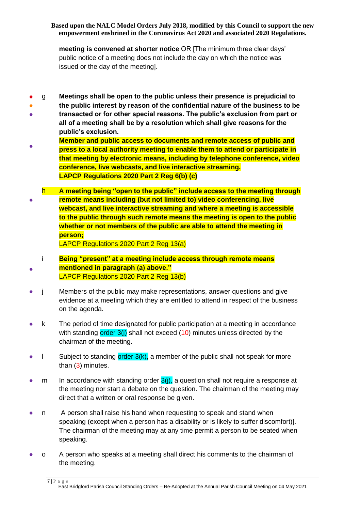**meeting is convened at shorter notice** OR [The minimum three clear days' public notice of a meeting does not include the day on which the notice was issued or the day of the meeting].

- g **Meetings shall be open to the public unless their presence is prejudicial to**
- **the public interest by reason of the confidential nature of the business to be**
- **transacted or for other special reasons. The public's exclusion from part or all of a meeting shall be by a resolution which shall give reasons for the public's exclusion.**
- **Member and public access to documents and remote access of public and press to a local authority meeting to enable them to attend or participate in that meeting by electronic means, including by telephone conference, video conference, live webcasts, and live interactive streaming. LAPCP Regulations 2020 Part 2 Reg 6(b) (c)**
- h **A meeting being "open to the public" include access to the meeting through remote means including (but not limited to) video conferencing, live webcast, and live interactive streaming and where a meeting is accessible to the public through such remote means the meeting is open to the public whether or not members of the public are able to attend the meeting in person;**  LAPCP Regulations 2020 Part 2 Reg 13(a)
	- i **Being "present" at a meeting include access through remote means mentioned in paragraph (a) above."**
- LAPCP Regulations 2020 Part 2 Reg 13(b)
- i Members of the public may make representations, answer questions and give evidence at a meeting which they are entitled to attend in respect of the business on the agenda.
- k The period of time designated for public participation at a meeting in accordance with standing  $order 3(i)$  shall not exceed  $(10)$  minutes unless directed by the chairman of the meeting.
- I Subject to standing order 3(k), a member of the public shall not speak for more than (3) minutes.
- m In accordance with standing order  $3(j)$ , a question shall not require a response at the meeting nor start a debate on the question. The chairman of the meeting may direct that a written or oral response be given.
- n A person shall raise his hand when requesting to speak and stand when speaking (except when a person has a disability or is likely to suffer discomfort)]. The chairman of the meeting may at any time permit a person to be seated when speaking.
- o A person who speaks at a meeting shall direct his comments to the chairman of the meeting.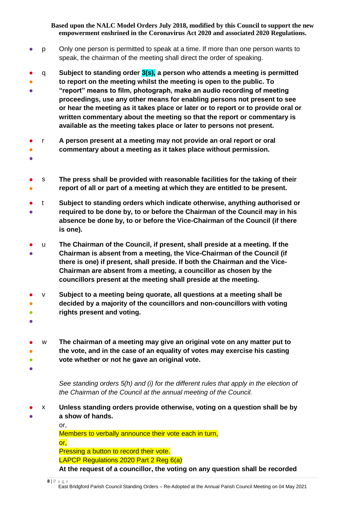- p Only one person is permitted to speak at a time. If more than one person wants to speak, the chairman of the meeting shall direct the order of speaking.
- q **Subject to standing order 3(s), a person who attends a meeting is permitted**
- **to report on the meeting whilst the meeting is open to the public. To**
- **"report" means to film, photograph, make an audio recording of meeting proceedings, use any other means for enabling persons not present to see or hear the meeting as it takes place or later or to report or to provide oral or written commentary about the meeting so that the report or commentary is available as the meeting takes place or later to persons not present.**
- r **A person present at a meeting may not provide an oral report or oral**
- **commentary about a meeting as it takes place without permission.**
- ●
- ● s **The press shall be provided with reasonable facilities for the taking of their report of all or part of a meeting at which they are entitled to be present.**
- ● t **Subject to standing orders which indicate otherwise, anything authorised or required to be done by, to or before the Chairman of the Council may in his absence be done by, to or before the Vice-Chairman of the Council (if there is one).**
- ● u **The Chairman of the Council, if present, shall preside at a meeting. If the Chairman is absent from a meeting, the Vice-Chairman of the Council (if there is one) if present, shall preside. If both the Chairman and the Vice-Chairman are absent from a meeting, a councillor as chosen by the councillors present at the meeting shall preside at the meeting.**
- v **Subject to a meeting being quorate, all questions at a meeting shall be**
- ● **decided by a majority of the councillors and non-councillors with voting rights present and voting.**
- ●
- ●  $\bullet$ w **The chairman of a meeting may give an original vote on any matter put to the vote, and in the case of an equality of votes may exercise his casting vote whether or not he gave an original vote.**
- $\bullet$

*See standing orders 5(h) and (i) for the different rules that apply in the election of the Chairman of the Council at the annual meeting of the Council.*

● ● x **Unless standing orders provide otherwise, voting on a question shall be by a show of hands.**

> or, Members to verbally announce their vote each in turn, or, Pressing a button to record their vote. LAPCP Regulations 2020 Part 2 Reg 6(a) **At the request of a councillor, the voting on any question shall be recorded**

**8 |** P a g e East Bridgford Parish Council Standing Orders – Re-Adopted at the Annual Parish Council Meeting on 04 May 2021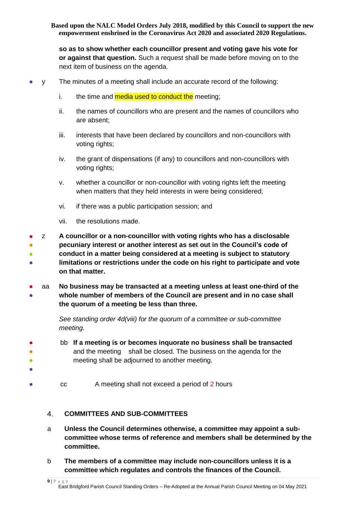**so as to show whether each councillor present and voting gave his vote for or against that question.** Such a request shall be made before moving on to the next item of business on the agenda.

y The minutes of a meeting shall include an accurate record of the following:

- i. the time and media used to conduct the meeting;
- ii. the names of councillors who are present and the names of councillors who are absent;
- iii. interests that have been declared by councillors and non-councillors with voting rights;
- iv. the grant of dispensations (if any) to councillors and non-councillors with voting rights;
- v. whether a councillor or non-councillor with voting rights left the meeting when matters that they held interests in were being considered;
- vi. if there was a public participation session; and
- vii. the resolutions made.
- ● ● ● z **A councillor or a non-councillor with voting rights who has a disclosable pecuniary interest or another interest as set out in the Council's code of conduct in a matter being considered at a meeting is subject to statutory limitations or restrictions under the code on his right to participate and vote on that matter.**
- ● aa **No business may be transacted at a meeting unless at least one-third of the whole number of members of the Council are present and in no case shall the quorum of a meeting be less than three.**

*See standing order 4d(viii) for the quorum of a committee or sub-committee meeting.* 

- bb **If a meeting is or becomes inquorate no business shall be transacted** and the meeting shall be closed. The business on the agenda for the meeting shall be adjourned to another meeting.
- cc A meeting shall not exceed a period of 2 hours

#### <span id="page-8-0"></span> $4<sub>1</sub>$ **COMMITTEES AND SUB-COMMITTEES**

- a **Unless the Council determines otherwise, a committee may appoint a subcommittee whose terms of reference and members shall be determined by the committee.**
- b **The members of a committee may include non-councillors unless it is a committee which regulates and controls the finances of the Council.**
- **9 |** P a g e

● ● ● ●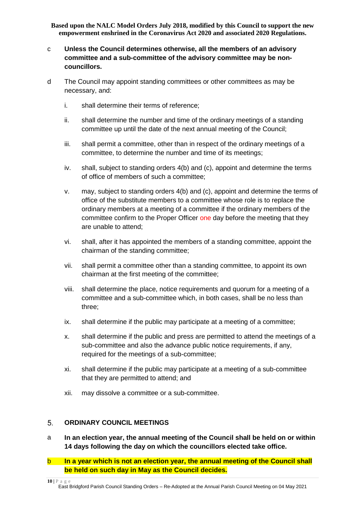- c **Unless the Council determines otherwise, all the members of an advisory committee and a sub-committee of the advisory committee may be noncouncillors.**
- d The Council may appoint standing committees or other committees as may be necessary, and:
	- i. shall determine their terms of reference;
	- ii. shall determine the number and time of the ordinary meetings of a standing committee up until the date of the next annual meeting of the Council;
	- iii. shall permit a committee, other than in respect of the ordinary meetings of a committee, to determine the number and time of its meetings;
	- iv. shall, subject to standing orders 4(b) and (c), appoint and determine the terms of office of members of such a committee;
	- v. may, subject to standing orders 4(b) and (c), appoint and determine the terms of office of the substitute members to a committee whose role is to replace the ordinary members at a meeting of a committee if the ordinary members of the committee confirm to the Proper Officer one day before the meeting that they are unable to attend;
	- vi. shall, after it has appointed the members of a standing committee, appoint the chairman of the standing committee;
	- vii. shall permit a committee other than a standing committee, to appoint its own chairman at the first meeting of the committee;
	- viii. shall determine the place, notice requirements and quorum for a meeting of a committee and a sub-committee which, in both cases, shall be no less than three;
	- ix. shall determine if the public may participate at a meeting of a committee;
	- x. shall determine if the public and press are permitted to attend the meetings of a sub-committee and also the advance public notice requirements, if any, required for the meetings of a sub-committee;
	- xi. shall determine if the public may participate at a meeting of a sub-committee that they are permitted to attend; and
	- xii. may dissolve a committee or a sub-committee.

#### <span id="page-9-0"></span> $5<sub>1</sub>$ **ORDINARY COUNCIL MEETINGS**

- a **In an election year, the annual meeting of the Council shall be held on or within 14 days following the day on which the councillors elected take office.**
- b **In a year which is not an election year, the annual meeting of the Council shall be held on such day in May as the Council decides.**

**<sup>10</sup> |** P a g e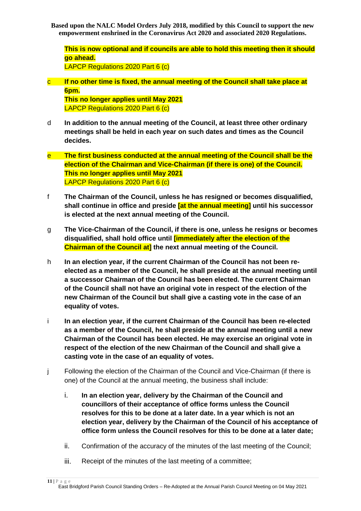**This is now optional and if councils are able to hold this meeting then it should go ahead.**

LAPCP Regulations 2020 Part 6 (c)

c **If no other time is fixed, the annual meeting of the Council shall take place at 6pm.**

**This no longer applies until May 2021** LAPCP Regulations 2020 Part 6 (c)

- d **In addition to the annual meeting of the Council, at least three other ordinary meetings shall be held in each year on such dates and times as the Council decides.**
- e **The first business conducted at the annual meeting of the Council shall be the election of the Chairman and Vice-Chairman (if there is one) of the Council. This no longer applies until May 2021** LAPCP Regulations 2020 Part 6 (c)
- f **The Chairman of the Council, unless he has resigned or becomes disqualified, shall continue in office and preside [at the annual meeting] until his successor is elected at the next annual meeting of the Council.**
- g **The Vice-Chairman of the Council, if there is one, unless he resigns or becomes disqualified, shall hold office until [immediately after the election of the Chairman of the Council at] the next annual meeting of the Council.**
- h **In an election year, if the current Chairman of the Council has not been reelected as a member of the Council, he shall preside at the annual meeting until a successor Chairman of the Council has been elected. The current Chairman of the Council shall not have an original vote in respect of the election of the new Chairman of the Council but shall give a casting vote in the case of an equality of votes.**
- i **In an election year, if the current Chairman of the Council has been re-elected as a member of the Council, he shall preside at the annual meeting until a new Chairman of the Council has been elected. He may exercise an original vote in respect of the election of the new Chairman of the Council and shall give a casting vote in the case of an equality of votes.**
- j Following the election of the Chairman of the Council and Vice-Chairman (if there is one) of the Council at the annual meeting, the business shall include:
	- i. **In an election year, delivery by the Chairman of the Council and councillors of their acceptance of office forms unless the Council resolves for this to be done at a later date. In a year which is not an election year, delivery by the Chairman of the Council of his acceptance of office form unless the Council resolves for this to be done at a later date;**
	- ii. Confirmation of the accuracy of the minutes of the last meeting of the Council;
	- iii. Receipt of the minutes of the last meeting of a committee;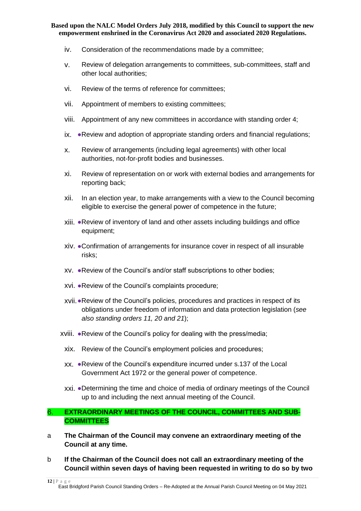- iv. Consideration of the recommendations made by a committee;
- v. Review of delegation arrangements to committees, sub-committees, staff and other local authorities;
- vi. Review of the terms of reference for committees;
- vii. Appointment of members to existing committees;
- viii. Appointment of any new committees in accordance with standing order 4;
- ix. ●Review and adoption of appropriate standing orders and financial regulations;
- x. Review of arrangements (including legal agreements) with other local authorities, not-for-profit bodies and businesses.
- xi. Review of representation on or work with external bodies and arrangements for reporting back;
- xii. In an election year, to make arrangements with a view to the Council becoming eligible to exercise the general power of competence in the future;
- xiii. ●Review of inventory of land and other assets including buildings and office equipment;
- xiv. ●Confirmation of arrangements for insurance cover in respect of all insurable risks;
- xv. ●Review of the Council's and/or staff subscriptions to other bodies;
- xvi. ●Review of the Council's complaints procedure;
- xvii.●Review of the Council's policies, procedures and practices in respect of its obligations under freedom of information and data protection legislation (*see also standing orders 11, 20 and 21*);
- xviii. ●Review of the Council's policy for dealing with the press/media;
	- xix. Review of the Council's employment policies and procedures;
	- xx. ●Review of the Council's expenditure incurred under s.137 of the Local Government Act 1972 or the general power of competence.
	- xxi. ●Determining the time and choice of media of ordinary meetings of the Council up to and including the next annual meeting of the Council.

#### <span id="page-11-0"></span>**EXTRAORDINARY MEETINGS OF THE COUNCIL, COMMITTEES AND SUB-** $6.$ **COMMITTEES**

- a **The Chairman of the Council may convene an extraordinary meeting of the Council at any time.**
- b **If the Chairman of the Council does not call an extraordinary meeting of the Council within seven days of having been requested in writing to do so by two**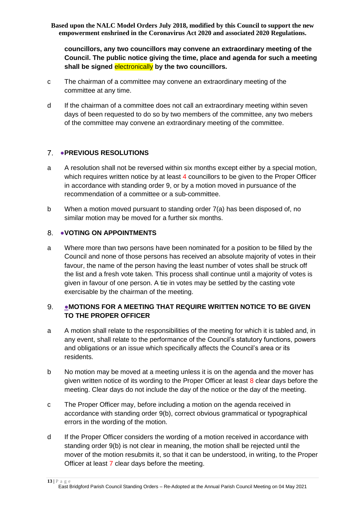**councillors, any two councillors may convene an extraordinary meeting of the Council. The public notice giving the time, place and agenda for such a meeting shall be signed** electronically **by the two councillors.**

- c The chairman of a committee may convene an extraordinary meeting of the committee at any time.
- d If the chairman of a committee does not call an extraordinary meeting within seven days of been requested to do so by two members of the committee, any two mebers of the committee may convene an extraordinary meeting of the committee.

## <span id="page-12-0"></span>7. **• PREVIOUS RESOLUTIONS**

- a A resolution shall not be reversed within six months except either by a special motion, which requires written notice by at least 4 councillors to be given to the Proper Officer in accordance with standing order 9, or by a motion moved in pursuance of the recommendation of a committee or a sub-committee.
- b When a motion moved pursuant to standing order 7(a) has been disposed of, no similar motion may be moved for a further six months.

#### <span id="page-12-1"></span> $8<sub>1</sub>$ ●**VOTING ON APPOINTMENTS**

a Where more than two persons have been nominated for a position to be filled by the Council and none of those persons has received an absolute majority of votes in their favour, the name of the person having the least number of votes shall be struck off the list and a fresh vote taken. This process shall continue until a majority of votes is given in favour of one person. A tie in votes may be settled by the casting vote exercisable by the chairman of the meeting.

#### <span id="page-12-2"></span>9. ●**MOTIONS FOR A MEETING THAT REQUIRE WRITTEN NOTICE TO BE GIVEN TO THE PROPER OFFICER**

- a A motion shall relate to the responsibilities of the meeting for which it is tabled and, in any event, shall relate to the performance of the Council's statutory functions, powers and obligations or an issue which specifically affects the Council's area or its residents.
- b No motion may be moved at a meeting unless it is on the agenda and the mover has given written notice of its wording to the Proper Officer at least  $8$  clear days before the meeting. Clear days do not include the day of the notice or the day of the meeting.
- c The Proper Officer may, before including a motion on the agenda received in accordance with standing order 9(b), correct obvious grammatical or typographical errors in the wording of the motion.
- d If the Proper Officer considers the wording of a motion received in accordance with standing order 9(b) is not clear in meaning, the motion shall be rejected until the mover of the motion resubmits it, so that it can be understood, in writing, to the Proper Officer at least 7 clear days before the meeting.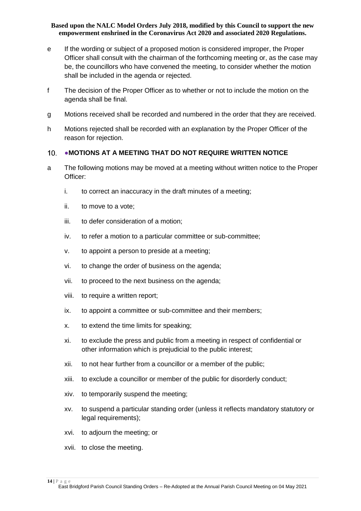- e If the wording or subject of a proposed motion is considered improper, the Proper Officer shall consult with the chairman of the forthcoming meeting or, as the case may be, the councillors who have convened the meeting, to consider whether the motion shall be included in the agenda or rejected.
- f The decision of the Proper Officer as to whether or not to include the motion on the agenda shall be final.
- g Motions received shall be recorded and numbered in the order that they are received.
- h Motions rejected shall be recorded with an explanation by the Proper Officer of the reason for rejection.

#### <span id="page-13-0"></span>●**MOTIONS AT A MEETING THAT DO NOT REQUIRE WRITTEN NOTICE**  $10<sub>1</sub>$

- a The following motions may be moved at a meeting without written notice to the Proper Officer:
	- i. to correct an inaccuracy in the draft minutes of a meeting;
	- ii. to move to a vote;
	- iii. to defer consideration of a motion;
	- iv. to refer a motion to a particular committee or sub-committee;
	- v. to appoint a person to preside at a meeting;
	- vi. to change the order of business on the agenda;
	- vii. to proceed to the next business on the agenda;
	- viii. to require a written report;
	- ix. to appoint a committee or sub-committee and their members;
	- x. to extend the time limits for speaking;
	- xi. to exclude the press and public from a meeting in respect of confidential or other information which is prejudicial to the public interest;
	- xii. to not hear further from a councillor or a member of the public;
	- xiii. to exclude a councillor or member of the public for disorderly conduct;
	- xiv. to temporarily suspend the meeting;
	- xv. to suspend a particular standing order (unless it reflects mandatory statutory or legal requirements);
	- xvi. to adjourn the meeting; or
	- xvii. to close the meeting.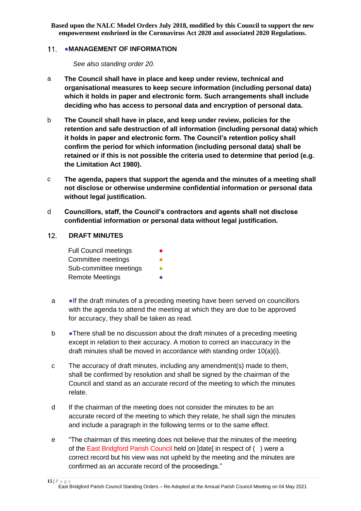#### <span id="page-14-0"></span>11. • MANAGEMENT OF INFORMATION

*See also standing order 20.*

- a **The Council shall have in place and keep under review, technical and organisational measures to keep secure information (including personal data) which it holds in paper and electronic form. Such arrangements shall include deciding who has access to personal data and encryption of personal data.**
- b **The Council shall have in place, and keep under review, policies for the retention and safe destruction of all information (including personal data) which it holds in paper and electronic form. The Council's retention policy shall confirm the period for which information (including personal data) shall be retained or if this is not possible the criteria used to determine that period (e.g. the Limitation Act 1980).**
- c **The agenda, papers that support the agenda and the minutes of a meeting shall not disclose or otherwise undermine confidential information or personal data without legal justification.**
- d **Councillors, staff, the Council's contractors and agents shall not disclose confidential information or personal data without legal justification.**

#### <span id="page-14-1"></span> $12.$ **DRAFT MINUTES**

| <b>Full Council meetings</b> |  |
|------------------------------|--|
| Committee meetings           |  |
| Sub-committee meetings       |  |
| <b>Remote Meetings</b>       |  |

- a ●If the draft minutes of a preceding meeting have been served on councillors with the agenda to attend the meeting at which they are due to be approved for accuracy, they shall be taken as read.
- b •There shall be no discussion about the draft minutes of a preceding meeting except in relation to their accuracy. A motion to correct an inaccuracy in the draft minutes shall be moved in accordance with standing order 10(a)(i).
- c The accuracy of draft minutes, including any amendment(s) made to them, shall be confirmed by resolution and shall be signed by the chairman of the Council and stand as an accurate record of the meeting to which the minutes relate.
- d If the chairman of the meeting does not consider the minutes to be an accurate record of the meeting to which they relate, he shall sign the minutes and include a paragraph in the following terms or to the same effect.
- e "The chairman of this meeting does not believe that the minutes of the meeting of the East Bridgford Parish Council held on [date] in respect of ( ) were a correct record but his view was not upheld by the meeting and the minutes are confirmed as an accurate record of the proceedings."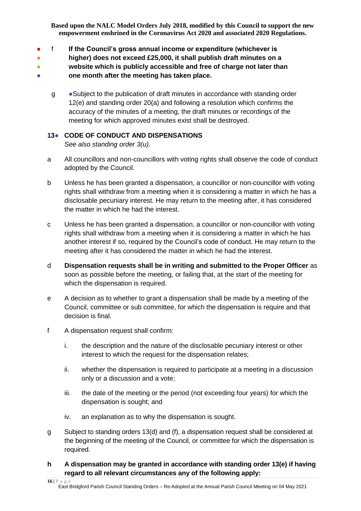- f **If the Council's gross annual income or expenditure (whichever is**
- **higher) does not exceed £25,000, it shall publish draft minutes on a**
- **website which is publicly accessible and free of charge not later than**
- **one month after the meeting has taken place.**
	- g Subject to the publication of draft minutes in accordance with standing order 12(e) and standing order 20(a) and following a resolution which confirms the accuracy of the minutes of a meeting, the draft minutes or recordings of the meeting for which approved minutes exist shall be destroyed.

# <span id="page-15-0"></span>**13**● **CODE OF CONDUCT AND DISPENSATIONS**

*See also standing order 3(u).*

- a All councillors and non-councillors with voting rights shall observe the code of conduct adopted by the Council.
- b Unless he has been granted a dispensation, a councillor or non-councillor with voting rights shall withdraw from a meeting when it is considering a matter in which he has a disclosable pecuniary interest. He may return to the meeting after, it has considered the matter in which he had the interest.
- c Unless he has been granted a dispensation, a councillor or non-councillor with voting rights shall withdraw from a meeting when it is considering a matter in which he has another interest if so, required by the Council's code of conduct. He may return to the meeting after it has considered the matter in which he had the interest.
- d **Dispensation requests shall be in writing and submitted to the Proper Officer** as soon as possible before the meeting, or failing that, at the start of the meeting for which the dispensation is required.
- e A decision as to whether to grant a dispensation shall be made by a meeting of the Council, committee or sub committee, for which the dispensation is require and that decision is final.
- f A dispensation request shall confirm:
	- i. the description and the nature of the disclosable pecuniary interest or other interest to which the request for the dispensation relates;
	- ii. whether the dispensation is required to participate at a meeting in a discussion only or a discussion and a vote;
	- iii. the date of the meeting or the period (not exceeding four years) for which the dispensation is sought; and
	- iv. an explanation as to why the dispensation is sought.
- g Subject to standing orders 13(d) and (f), a dispensation request shall be considered at the beginning of the meeting of the Council, or committee for which the dispensation is required.
- **h A dispensation may be granted in accordance with standing order 13(e) if having regard to all relevant circumstances any of the following apply:**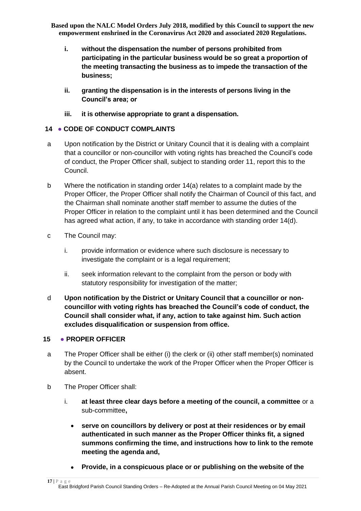- **i. without the dispensation the number of persons prohibited from participating in the particular business would be so great a proportion of the meeting transacting the business as to impede the transaction of the business;**
- **ii. granting the dispensation is in the interests of persons living in the Council's area; or**
- **iii. it is otherwise appropriate to grant a dispensation.**

## <span id="page-16-0"></span>**14** ● **CODE OF CONDUCT COMPLAINTS**

- a Upon notification by the District or Unitary Council that it is dealing with a complaint that a councillor or non-councillor with voting rights has breached the Council's code of conduct, the Proper Officer shall, subject to standing order 11, report this to the Council.
- b Where the notification in standing order 14(a) relates to a complaint made by the Proper Officer, the Proper Officer shall notify the Chairman of Council of this fact, and the Chairman shall nominate another staff member to assume the duties of the Proper Officer in relation to the complaint until it has been determined and the Council has agreed what action, if any, to take in accordance with standing order 14(d).
- c The Council may:
	- i. provide information or evidence where such disclosure is necessary to investigate the complaint or is a legal requirement;
	- ii. seek information relevant to the complaint from the person or body with statutory responsibility for investigation of the matter;
- d **Upon notification by the District or Unitary Council that a councillor or noncouncillor with voting rights has breached the Council's code of conduct, the Council shall consider what, if any, action to take against him. Such action excludes disqualification or suspension from office.**

## <span id="page-16-1"></span>**15** ● **PROPER OFFICER**

- a The Proper Officer shall be either (i) the clerk or (ii) other staff member(s) nominated by the Council to undertake the work of the Proper Officer when the Proper Officer is absent.
- b The Proper Officer shall:
	- i. **at least three clear days before a meeting of the council, a committee** or a sub-committee**,**
		- **serve on councillors by delivery or post at their residences or by email authenticated in such manner as the Proper Officer thinks fit, a signed summons confirming the time, and instructions how to link to the remote meeting the agenda and,**
		- **Provide, in a conspicuous place or or publishing on the website of the**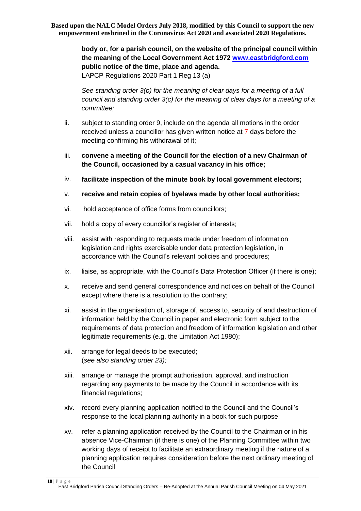> **body or, for a parish council, on the website of the principal council within the meaning of the Local Government Act 1972 [www.eastbridgford.com](http://www.eastbridgford.com/) public notice of the time, place and agenda.** LAPCP Regulations 2020 Part 1 Reg 13 (a)

> *See standing order 3(b) for the meaning of clear days for a meeting of a full council and standing order 3(c) for the meaning of clear days for a meeting of a committee;*

- ii. subject to standing order 9, include on the agenda all motions in the order received unless a councillor has given written notice at 7 days before the meeting confirming his withdrawal of it;
- iii. **convene a meeting of the Council for the election of a new Chairman of the Council, occasioned by a casual vacancy in his office;**
- iv. **facilitate inspection of the minute book by local government electors;**
- v. **receive and retain copies of byelaws made by other local authorities;**
- vi. hold acceptance of office forms from councillors;
- vii. hold a copy of every councillor's register of interests;
- viii. assist with responding to requests made under freedom of information legislation and rights exercisable under data protection legislation, in accordance with the Council's relevant policies and procedures;
- ix. liaise, as appropriate, with the Council's Data Protection Officer (if there is one);
- x. receive and send general correspondence and notices on behalf of the Council except where there is a resolution to the contrary;
- xi. assist in the organisation of, storage of, access to, security of and destruction of information held by the Council in paper and electronic form subject to the requirements of data protection and freedom of information legislation and other legitimate requirements (e.g. the Limitation Act 1980);
- xii. arrange for legal deeds to be executed; (*see also standing order 23);*
- xiii. arrange or manage the prompt authorisation, approval, and instruction regarding any payments to be made by the Council in accordance with its financial regulations;
- xiv. record every planning application notified to the Council and the Council's response to the local planning authority in a book for such purpose;
- xv. refer a planning application received by the Council to the Chairman or in his absence Vice-Chairman (if there is one) of the Planning Committee within two working days of receipt to facilitate an extraordinary meeting if the nature of a planning application requires consideration before the next ordinary meeting of the Council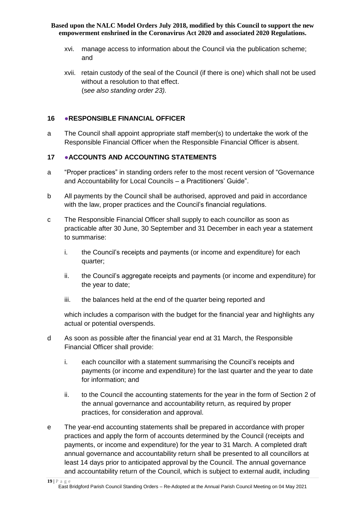- xvi. manage access to information about the Council via the publication scheme; and
- xvii. retain custody of the seal of the Council (if there is one) which shall not be used without a resolution to that effect. (s*ee also standing order 23).*

#### <span id="page-18-0"></span>**16** ●**RESPONSIBLE FINANCIAL OFFICER**

a The Council shall appoint appropriate staff member(s) to undertake the work of the Responsible Financial Officer when the Responsible Financial Officer is absent.

## <span id="page-18-1"></span>**17** ●**ACCOUNTS AND ACCOUNTING STATEMENTS**

- a "Proper practices" in standing orders refer to the most recent version of "Governance and Accountability for Local Councils – a Practitioners' Guide".
- b All payments by the Council shall be authorised, approved and paid in accordance with the law, proper practices and the Council's financial regulations.
- c The Responsible Financial Officer shall supply to each councillor as soon as practicable after 30 June, 30 September and 31 December in each year a statement to summarise:
	- i. the Council's receipts and payments (or income and expenditure) for each quarter;
	- ii. the Council's aggregate receipts and payments (or income and expenditure) for the year to date;
	- iii. the balances held at the end of the quarter being reported and

which includes a comparison with the budget for the financial year and highlights any actual or potential overspends.

- d As soon as possible after the financial year end at 31 March, the Responsible Financial Officer shall provide:
	- i. each councillor with a statement summarising the Council's receipts and payments (or income and expenditure) for the last quarter and the year to date for information; and
	- ii. to the Council the accounting statements for the year in the form of Section 2 of the annual governance and accountability return, as required by proper practices, for consideration and approval.
- e The year-end accounting statements shall be prepared in accordance with proper practices and apply the form of accounts determined by the Council (receipts and payments, or income and expenditure) for the year to 31 March. A completed draft annual governance and accountability return shall be presented to all councillors at least 14 days prior to anticipated approval by the Council. The annual governance and accountability return of the Council, which is subject to external audit, including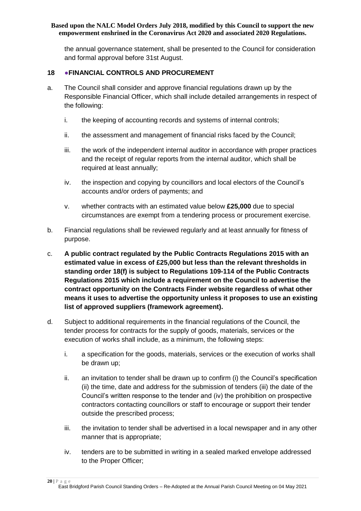the annual governance statement, shall be presented to the Council for consideration and formal approval before 31st August.

#### <span id="page-19-0"></span>**18 ●FINANCIAL CONTROLS AND PROCUREMENT**

- a. The Council shall consider and approve financial regulations drawn up by the Responsible Financial Officer, which shall include detailed arrangements in respect of the following:
	- i. the keeping of accounting records and systems of internal controls;
	- ii. the assessment and management of financial risks faced by the Council;
	- iii. the work of the independent internal auditor in accordance with proper practices and the receipt of regular reports from the internal auditor, which shall be required at least annually;
	- iv. the inspection and copying by councillors and local electors of the Council's accounts and/or orders of payments; and
	- v. whether contracts with an estimated value below **£25,000** due to special circumstances are exempt from a tendering process or procurement exercise.
- b. Financial regulations shall be reviewed regularly and at least annually for fitness of purpose.
- c. **A public contract regulated by the Public Contracts Regulations 2015 with an estimated value in excess of £25,000 but less than the relevant thresholds in standing order 18(f) is subject to Regulations 109-114 of the Public Contracts Regulations 2015 which include a requirement on the Council to advertise the contract opportunity on the Contracts Finder website regardless of what other means it uses to advertise the opportunity unless it proposes to use an existing list of approved suppliers (framework agreement).**
- d. Subject to additional requirements in the financial regulations of the Council, the tender process for contracts for the supply of goods, materials, services or the execution of works shall include, as a minimum, the following steps:
	- i. a specification for the goods, materials, services or the execution of works shall be drawn up;
	- ii. an invitation to tender shall be drawn up to confirm (i) the Council's specification (ii) the time, date and address for the submission of tenders (iii) the date of the Council's written response to the tender and (iv) the prohibition on prospective contractors contacting councillors or staff to encourage or support their tender outside the prescribed process;
	- iii. the invitation to tender shall be advertised in a local newspaper and in any other manner that is appropriate;
	- iv. tenders are to be submitted in writing in a sealed marked envelope addressed to the Proper Officer;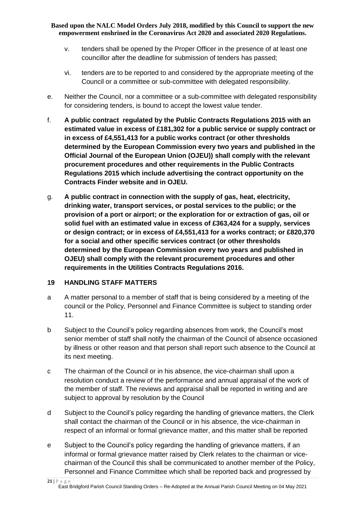- v. tenders shall be opened by the Proper Officer in the presence of at least one councillor after the deadline for submission of tenders has passed;
- vi. tenders are to be reported to and considered by the appropriate meeting of the Council or a committee or sub-committee with delegated responsibility.
- e. Neither the Council, nor a committee or a sub-committee with delegated responsibility for considering tenders, is bound to accept the lowest value tender.
- f. **A public contract regulated by the Public Contracts Regulations 2015 with an estimated value in excess of £181,302 for a public service or supply contract or in excess of £4,551,413 for a public works contract (or other thresholds determined by the European Commission every two years and published in the Official Journal of the European Union (OJEU)) shall comply with the relevant procurement procedures and other requirements in the Public Contracts Regulations 2015 which include advertising the contract opportunity on the Contracts Finder website and in OJEU.**
- g. **A public contract in connection with the supply of gas, heat, electricity, drinking water, transport services, or postal services to the public; or the provision of a port or airport; or the exploration for or extraction of gas, oil or solid fuel with an estimated value in excess of £363,424 for a supply, services or design contract; or in excess of £4,551,413 for a works contract; or £820,370 for a social and other specific services contract (or other thresholds determined by the European Commission every two years and published in OJEU) shall comply with the relevant procurement procedures and other requirements in the Utilities Contracts Regulations 2016.**

## <span id="page-20-0"></span>**19 HANDLING STAFF MATTERS**

- a A matter personal to a member of staff that is being considered by a meeting of the council or the Policy, Personnel and Finance Committee is subject to standing order 11.
- b Subject to the Council's policy regarding absences from work, the Council's most senior member of staff shall notify the chairman of the Council of absence occasioned by illness or other reason and that person shall report such absence to the Council at its next meeting.
- c The chairman of the Council or in his absence, the vice-chairman shall upon a resolution conduct a review of the performance and annual appraisal of the work of the member of staff. The reviews and appraisal shall be reported in writing and are subject to approval by resolution by the Council
- d Subject to the Council's policy regarding the handling of grievance matters, the Clerk shall contact the chairman of the Council or in his absence, the vice-chairman in respect of an informal or formal grievance matter, and this matter shall be reported
- e Subject to the Council's policy regarding the handling of grievance matters, if an informal or formal grievance matter raised by Clerk relates to the chairman or vicechairman of the Council this shall be communicated to another member of the Policy, Personnel and Finance Committee which shall be reported back and progressed by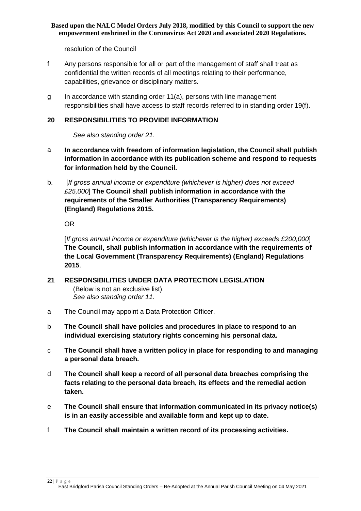resolution of the Council

- f Any persons responsible for all or part of the management of staff shall treat as confidential the written records of all meetings relating to their performance, capabilities, grievance or disciplinary matters.
- g In accordance with standing order 11(a), persons with line management responsibilities shall have access to staff records referred to in standing order 19(f).

#### <span id="page-21-0"></span>**20 RESPONSIBILITIES TO PROVIDE INFORMATION**

*See also standing order 21.*

- a **In accordance with freedom of information legislation, the Council shall publish information in accordance with its publication scheme and respond to requests for information held by the Council.**
- b. [*If gross annual income or expenditure (whichever is higher) does not exceed £25,000*] **The Council shall publish information in accordance with the requirements of the Smaller Authorities (Transparency Requirements) (England) Regulations 2015.**

OR

[*If gross annual income or expenditure (whichever is the higher) exceeds £200,000*] **The Council, shall publish information in accordance with the requirements of the Local Government (Transparency Requirements) (England) Regulations 2015**.

- <span id="page-21-1"></span>**21 RESPONSIBILITIES UNDER DATA PROTECTION LEGISLATION**  (Below is not an exclusive list). *See also standing order 11.*
- a The Council may appoint a Data Protection Officer.
- b **The Council shall have policies and procedures in place to respond to an individual exercising statutory rights concerning his personal data.**
- c **The Council shall have a written policy in place for responding to and managing a personal data breach.**
- d **The Council shall keep a record of all personal data breaches comprising the facts relating to the personal data breach, its effects and the remedial action taken.**
- e **The Council shall ensure that information communicated in its privacy notice(s) is in an easily accessible and available form and kept up to date.**
- f **The Council shall maintain a written record of its processing activities.**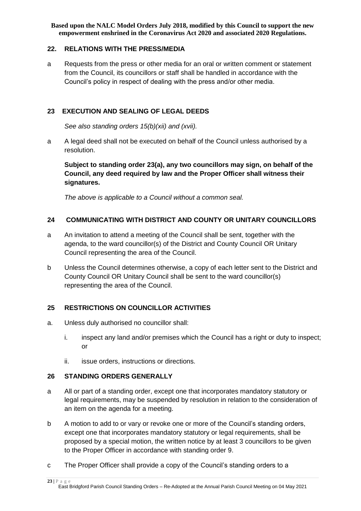#### <span id="page-22-0"></span>**22. RELATIONS WITH THE PRESS/MEDIA**

a Requests from the press or other media for an oral or written comment or statement from the Council, its councillors or staff shall be handled in accordance with the Council's policy in respect of dealing with the press and/or other media.

#### <span id="page-22-1"></span>**23 EXECUTION AND SEALING OF LEGAL DEEDS**

*See also standing orders 15(b)(xii) and (xvii).*

a A legal deed shall not be executed on behalf of the Council unless authorised by a resolution.

**Subject to standing order 23(a), any two councillors may sign, on behalf of the Council, any deed required by law and the Proper Officer shall witness their signatures.**

*The above is applicable to a Council without a common seal.*

## <span id="page-22-2"></span>**24 COMMUNICATING WITH DISTRICT AND COUNTY OR UNITARY COUNCILLORS**

- a An invitation to attend a meeting of the Council shall be sent, together with the agenda, to the ward councillor(s) of the District and County Council OR Unitary Council representing the area of the Council.
- b Unless the Council determines otherwise, a copy of each letter sent to the District and County Council OR Unitary Council shall be sent to the ward councillor(s) representing the area of the Council.

## <span id="page-22-3"></span>**25 RESTRICTIONS ON COUNCILLOR ACTIVITIES**

- a. Unless duly authorised no councillor shall:
	- i. inspect any land and/or premises which the Council has a right or duty to inspect; or
	- ii. issue orders, instructions or directions.

## <span id="page-22-4"></span>**26 STANDING ORDERS GENERALLY**

- a All or part of a standing order, except one that incorporates mandatory statutory or legal requirements, may be suspended by resolution in relation to the consideration of an item on the agenda for a meeting.
- b A motion to add to or vary or revoke one or more of the Council's standing orders, except one that incorporates mandatory statutory or legal requirements, shall be proposed by a special motion, the written notice by at least 3 councillors to be given to the Proper Officer in accordance with standing order 9.
- c The Proper Officer shall provide a copy of the Council's standing orders to a